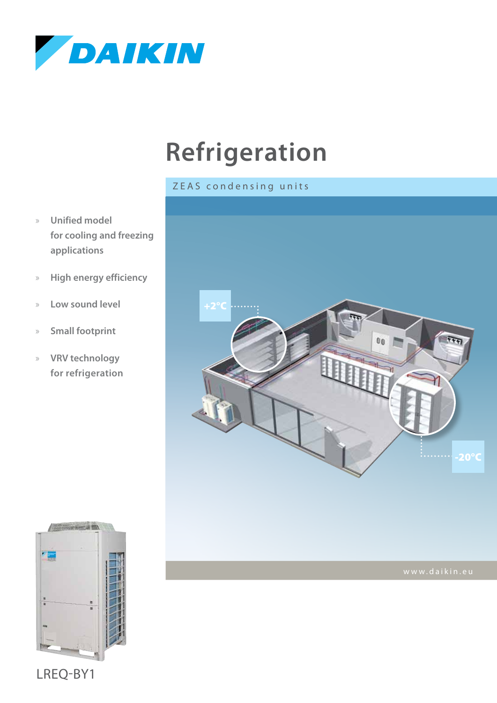

# **Refrigeration**

#### ZEAS condensing units

- » **Unified model for cooling and freezing applications**
- » **High energy efficiency**
- » **Low sound level**
- » **Small footprint**
- » **VRV technology for refrigeration**





LREQ-BY1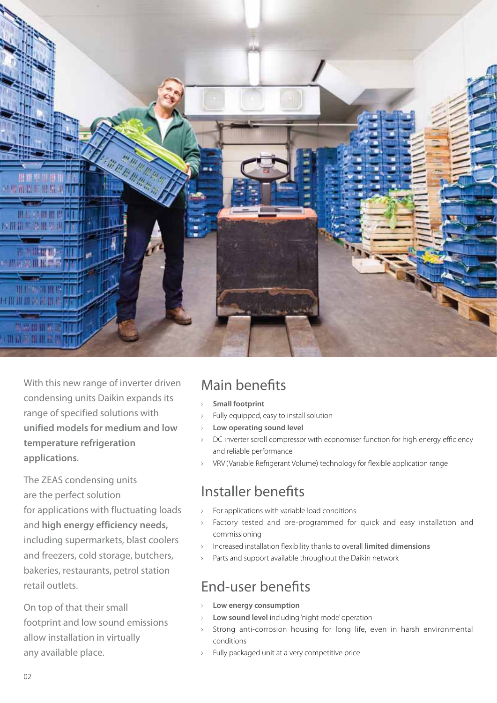

With this new range of inverter driven condensing units Daikin expands its range of specified solutions with **unified models for medium and low temperature refrigeration applications**.

The ZEAS condensing units are the perfect solution for applications with fluctuating loads and **high energy efficiency needs,** including supermarkets, blast coolers and freezers, cold storage, butchers, bakeries, restaurants, petrol station retail outlets.

On top of that their small footprint and low sound emissions allow installation in virtually any available place.

#### Main benefits

- **Small footprint**
- Fully equipped, easy to install solution
- Low operating sound level
- DC inverter scroll compressor with economiser function for high energy efficiency and reliable performance
- › VRV (Variable Refrigerant Volume) technology for flexible application range

#### Installer benefits

- › For applications with variable load conditions
- Factory tested and pre-programmed for quick and easy installation and commissioning
- › Increased installation flexibility thanks to overall **limited dimensions**
- Parts and support available throughout the Daikin network

### End-user benefits

- **Low energy consumption**
- Low sound level including 'night mode' operation
- Strong anti-corrosion housing for long life, even in harsh environmental conditions
- › Fully packaged unit at a very competitive price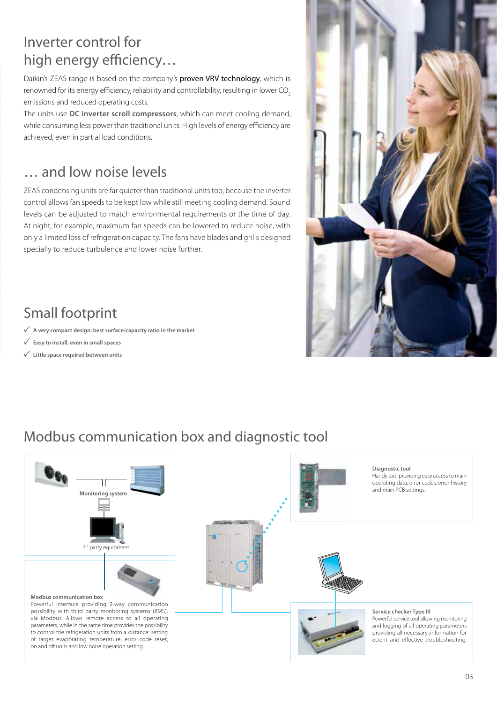## Inverter control for high energy efficiency…

Daikin's ZEAS range is based on the company's proven VRV technology, which is renowned for its energy efficiency, reliability and controllability, resulting in lower CO<sub>2</sub> emissions and reduced operating costs.

The units use **DC inverter scroll compressors**, which can meet cooling demand, while consuming less power than traditional units. High levels of energy efficiency are achieved, even in partial load conditions.

#### … and low noise levels

ZEAS condensing units are far quieter than traditional units too, because the inverter control allows fan speeds to be kept low while still meeting cooling demand. Sound levels can be adjusted to match environmental requirements or the time of day. At night, for example, maximum fan speeds can be lowered to reduce noise, with only a limited loss of refrigeration capacity. The fans have blades and grills designed specially to reduce turbulence and lower noise further.

# Small footprint

- **A very compact design: best surface/capacity ratio in the market**
- **Easy to install, even in small spaces**
- **Little space required between units**